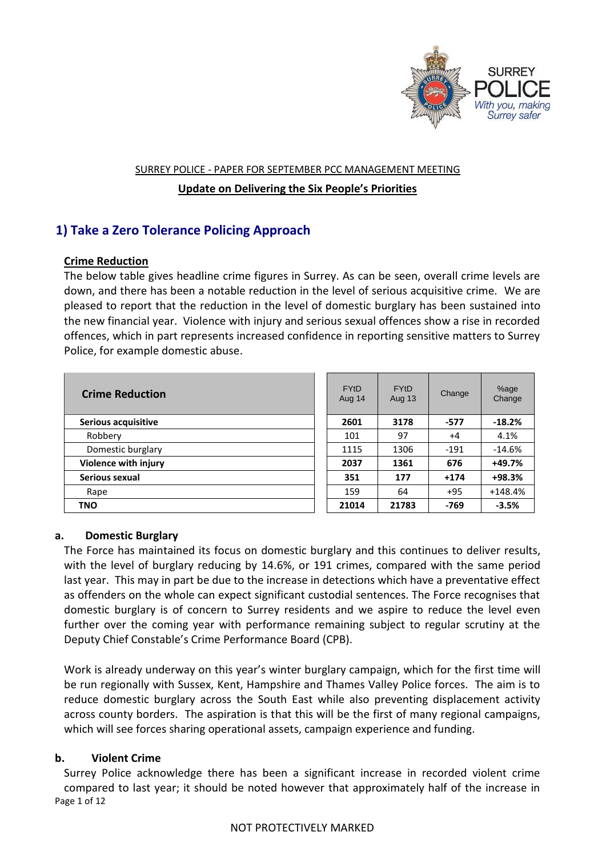

#### SURREY POLICE - PAPER FOR SEPTEMBER PCC MANAGEMENT MEETING

## **Update on Delivering the Six People's Priorities**

# **1) Take a Zero Tolerance Policing Approach**

# **Crime Reduction**

The below table gives headline crime figures in Surrey. As can be seen, overall crime levels are down, and there has been a notable reduction in the level of serious acquisitive crime. We are pleased to report that the reduction in the level of domestic burglary has been sustained into the new financial year. Violence with injury and serious sexual offences show a rise in recorded offences, which in part represents increased confidence in reporting sensitive matters to Surrey Police, for example domestic abuse.

| <b>Crime Reduction</b> | <b>FYtD</b><br>Aug 14 | <b>FYtD</b><br>Aug 13 | Change | %age<br>Change |
|------------------------|-----------------------|-----------------------|--------|----------------|
| Serious acquisitive    | 2601                  | 3178                  | -577   | $-18.2%$       |
| Robbery                | 101                   | 97                    | $+4$   | 4.1%           |
| Domestic burglary      | 1115                  | 1306                  | $-191$ | $-14.6%$       |
| Violence with injury   | 2037                  | 1361                  | 676    | $+49.7%$       |
| Serious sexual         | 351                   | 177                   | $+174$ | $+98.3%$       |
| Rape                   | 159                   | 64                    | $+95$  | $+148.4%$      |
| <b>TNO</b>             | 21014                 | 21783                 | -769   | $-3.5%$        |

| <b>FYtD</b><br>Aug 14 | <b>FYtD</b><br>Aug 13 | Change | %age<br>Change |
|-----------------------|-----------------------|--------|----------------|
| 2601                  | 3178                  | -577   | $-18.2%$       |
| 101                   | 97                    | $+4$   | 4.1%           |
| 1115                  | 1306                  | $-191$ | $-14.6%$       |
| 2037                  | 1361                  | 676    | +49.7%         |
| 351                   | 177                   | $+174$ | +98.3%         |
| 159                   | 64                    | $+95$  | $+148.4%$      |
| 21014                 | 21783                 | -769   | -3.5%          |

## **a. Domestic Burglary**

The Force has maintained its focus on domestic burglary and this continues to deliver results, with the level of burglary reducing by 14.6%, or 191 crimes, compared with the same period last year. This may in part be due to the increase in detections which have a preventative effect as offenders on the whole can expect significant custodial sentences. The Force recognises that domestic burglary is of concern to Surrey residents and we aspire to reduce the level even further over the coming year with performance remaining subject to regular scrutiny at the Deputy Chief Constable's Crime Performance Board (CPB).

Work is already underway on this year's winter burglary campaign, which for the first time will be run regionally with Sussex, Kent, Hampshire and Thames Valley Police forces. The aim is to reduce domestic burglary across the South East while also preventing displacement activity across county borders. The aspiration is that this will be the first of many regional campaigns, which will see forces sharing operational assets, campaign experience and funding.

## **b. Violent Crime**

Page 1 of 12 Surrey Police acknowledge there has been a significant increase in recorded violent crime compared to last year; it should be noted however that approximately half of the increase in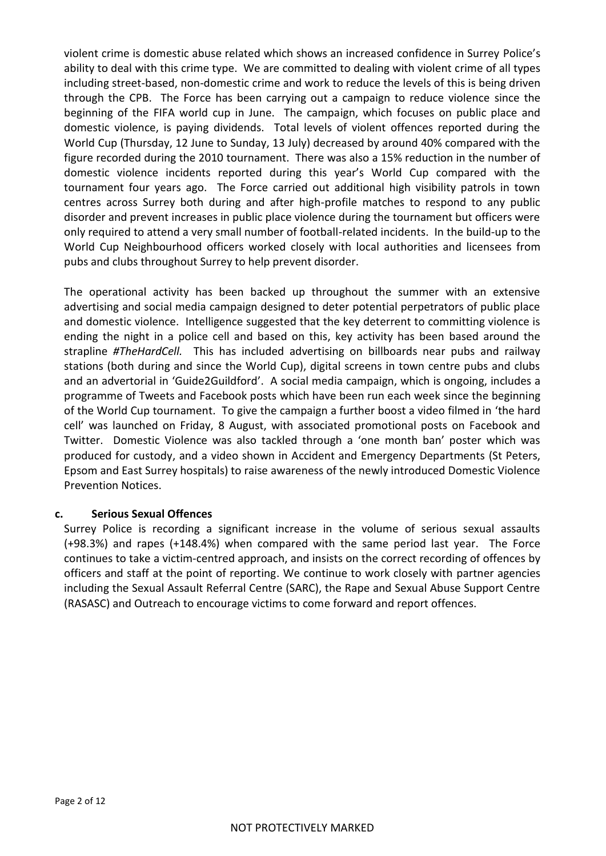violent crime is domestic abuse related which shows an increased confidence in Surrey Police's ability to deal with this crime type. We are committed to dealing with violent crime of all types including street-based, non-domestic crime and work to reduce the levels of this is being driven through the CPB. The Force has been carrying out a campaign to reduce violence since the beginning of the FIFA world cup in June. The campaign, which focuses on public place and domestic violence, is paying dividends. Total levels of violent offences reported during the World Cup (Thursday, 12 June to Sunday, 13 July) decreased by around 40% compared with the figure recorded during the 2010 tournament. There was also a 15% reduction in the number of domestic violence incidents reported during this year's World Cup compared with the tournament four years ago. The Force carried out additional high visibility patrols in town centres across Surrey both during and after high-profile matches to respond to any public disorder and prevent increases in public place violence during the tournament but officers were only required to attend a very small number of football-related incidents. In the build-up to the World Cup Neighbourhood officers worked closely with local authorities and licensees from pubs and clubs throughout Surrey to help prevent disorder.

The operational activity has been backed up throughout the summer with an extensive advertising and social media campaign designed to deter potential perpetrators of public place and domestic violence. Intelligence suggested that the key deterrent to committing violence is ending the night in a police cell and based on this, key activity has been based around the strapline *#TheHardCell.* This has included advertising on billboards near pubs and railway stations (both during and since the World Cup), digital screens in town centre pubs and clubs and an advertorial in 'Guide2Guildford'. A social media campaign, which is ongoing, includes a programme of Tweets and Facebook posts which have been run each week since the beginning of the World Cup tournament. To give the campaign a further boost a video filmed in 'the hard cell' was launched on Friday, 8 August, with associated promotional posts on Facebook and Twitter. Domestic Violence was also tackled through a 'one month ban' poster which was produced for custody, and a video shown in Accident and Emergency Departments (St Peters, Epsom and East Surrey hospitals) to raise awareness of the newly introduced Domestic Violence Prevention Notices.

## **c. Serious Sexual Offences**

Surrey Police is recording a significant increase in the volume of serious sexual assaults (+98.3%) and rapes (+148.4%) when compared with the same period last year. The Force continues to take a victim-centred approach, and insists on the correct recording of offences by officers and staff at the point of reporting. We continue to work closely with partner agencies including the Sexual Assault Referral Centre (SARC), the Rape and Sexual Abuse Support Centre (RASASC) and Outreach to encourage victims to come forward and report offences.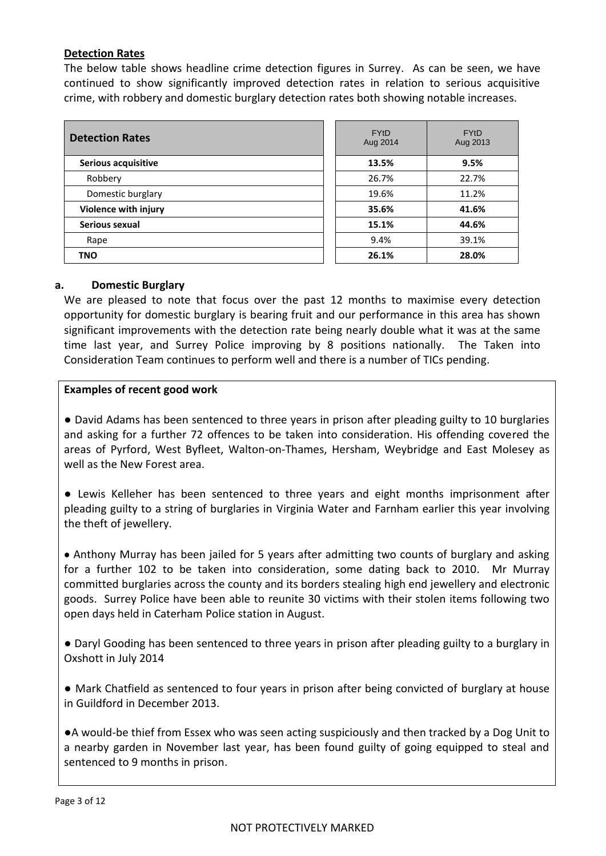## **Detection Rates**

The below table shows headline crime detection figures in Surrey. As can be seen, we have continued to show significantly improved detection rates in relation to serious acquisitive crime, with robbery and domestic burglary detection rates both showing notable increases.

| <b>Detection Rates</b> | <b>FYtD</b><br>Aug 2014 | <b>FYtD</b><br>Aug 201 |
|------------------------|-------------------------|------------------------|
| Serious acquisitive    | 13.5%                   | 9.5%                   |
| Robbery                | 26.7%                   | 22.7%                  |
| Domestic burglary      | 19.6%                   | 11.2%                  |
| Violence with injury   | 35.6%                   | 41.6%                  |
| Serious sexual         | 15.1%                   | 44.6%                  |
| Rape                   | 9.4%                    | 39.1%                  |
| <b>TNO</b>             | 26.1%                   | 28.0%                  |

| <b>FYtD</b><br>Aug 2014 | <b>FYtD</b><br>Aug 2013 |
|-------------------------|-------------------------|
| 13.5%                   | 9.5%                    |
| 26.7%                   | 22.7%                   |
| 19.6%                   | 11.2%                   |
| 35.6%                   | 41.6%                   |
| 15.1%                   | 44.6%                   |
| 9.4%                    | 39.1%                   |
| 26.1%                   | 28.0%                   |

### **a. Domestic Burglary**

We are pleased to note that focus over the past 12 months to maximise every detection opportunity for domestic burglary is bearing fruit and our performance in this area has shown significant improvements with the detection rate being nearly double what it was at the same time last year, and Surrey Police improving by 8 positions nationally. The Taken into Consideration Team continues to perform well and there is a number of TICs pending.

## **Examples of recent good work**

● David Adams has been sentenced to three years in prison after pleading guilty to 10 burglaries and asking for a further 72 offences to be taken into consideration. His offending covered the areas of Pyrford, West Byfleet, Walton-on-Thames, Hersham, Weybridge and East Molesey as well as the New Forest area.

● Lewis Kelleher has been sentenced to three years and eight months imprisonment after pleading guilty to a string of burglaries in Virginia Water and Farnham earlier this year involving the theft of jewellery.

Anthony Murray has been jailed for 5 years after admitting two counts of burglary and asking for a further 102 to be taken into consideration, some dating back to 2010. Mr Murray committed burglaries across the county and its borders stealing high end jewellery and electronic goods. Surrey Police have been able to reunite 30 victims with their stolen items following two open days held in Caterham Police station in August.

● Daryl Gooding has been sentenced to three years in prison after pleading guilty to a burglary in Oxshott in July 2014

● Mark Chatfield as sentenced to four years in prison after being convicted of burglary at house in Guildford in December 2013.

●A would-be thief from Essex who was seen acting suspiciously and then tracked by a Dog Unit to a nearby garden in November last year, has been found guilty of going equipped to steal and sentenced to 9 months in prison.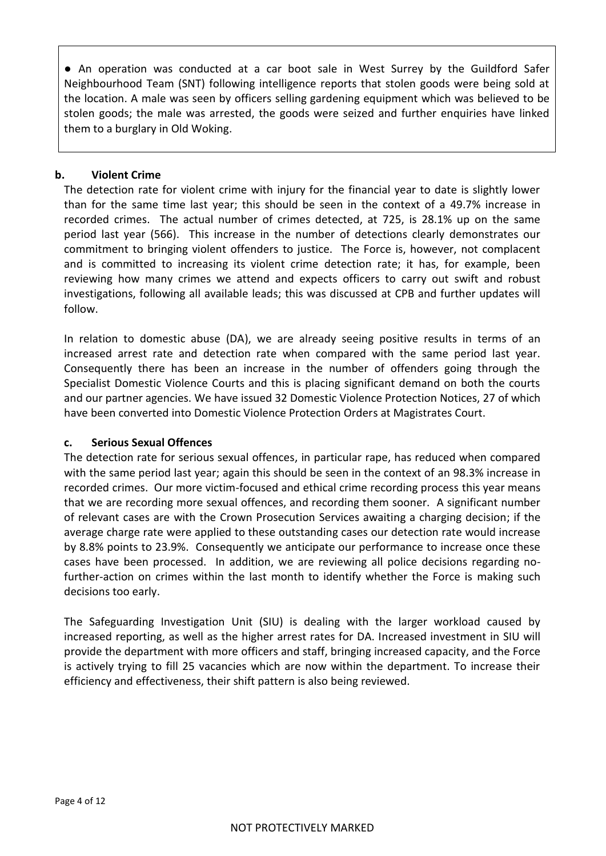● An operation was conducted at a car boot sale in West Surrey by the Guildford Safer Neighbourhood Team (SNT) following intelligence reports that stolen goods were being sold at the location. A male was seen by officers selling gardening equipment which was believed to be stolen goods; the male was arrested, the goods were seized and further enquiries have linked them to a burglary in Old Woking.

## **b. Violent Crime**

The detection rate for violent crime with injury for the financial year to date is slightly lower than for the same time last year; this should be seen in the context of a 49.7% increase in recorded crimes. The actual number of crimes detected, at 725, is 28.1% up on the same period last year (566). This increase in the number of detections clearly demonstrates our commitment to bringing violent offenders to justice. The Force is, however, not complacent and is committed to increasing its violent crime detection rate; it has, for example, been reviewing how many crimes we attend and expects officers to carry out swift and robust investigations, following all available leads; this was discussed at CPB and further updates will follow.

In relation to domestic abuse (DA), we are already seeing positive results in terms of an increased arrest rate and detection rate when compared with the same period last year. Consequently there has been an increase in the number of offenders going through the Specialist Domestic Violence Courts and this is placing significant demand on both the courts and our partner agencies. We have issued 32 Domestic Violence Protection Notices, 27 of which have been converted into Domestic Violence Protection Orders at Magistrates Court.

## **c. Serious Sexual Offences**

The detection rate for serious sexual offences, in particular rape, has reduced when compared with the same period last year; again this should be seen in the context of an 98.3% increase in recorded crimes. Our more victim-focused and ethical crime recording process this year means that we are recording more sexual offences, and recording them sooner. A significant number of relevant cases are with the Crown Prosecution Services awaiting a charging decision; if the average charge rate were applied to these outstanding cases our detection rate would increase by 8.8% points to 23.9%. Consequently we anticipate our performance to increase once these cases have been processed. In addition, we are reviewing all police decisions regarding nofurther-action on crimes within the last month to identify whether the Force is making such decisions too early.

The Safeguarding Investigation Unit (SIU) is dealing with the larger workload caused by increased reporting, as well as the higher arrest rates for DA. Increased investment in SIU will provide the department with more officers and staff, bringing increased capacity, and the Force is actively trying to fill 25 vacancies which are now within the department. To increase their efficiency and effectiveness, their shift pattern is also being reviewed.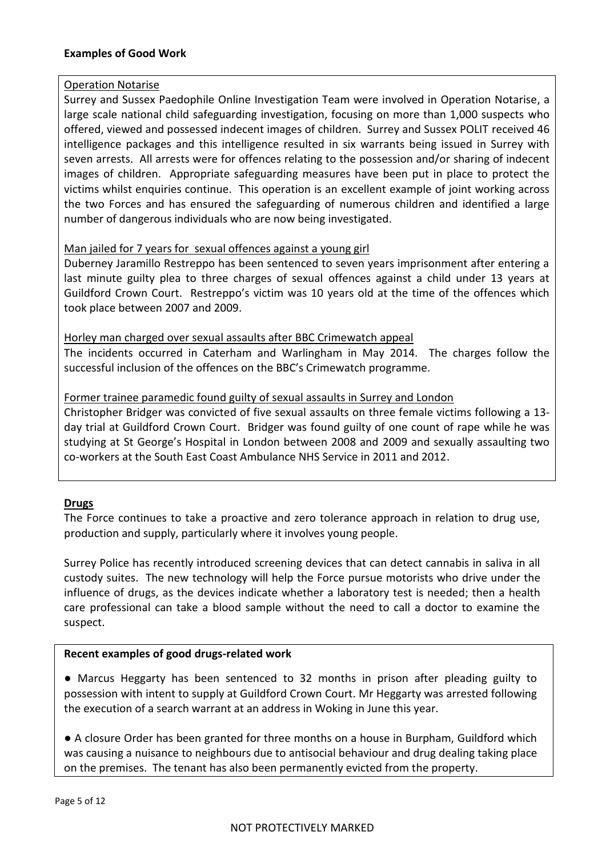## **Examples of Good Work**

### Operation Notarise

Surrey and Sussex Paedophile Online Investigation Team were involved in Operation Notarise, a large scale national child safeguarding investigation, focusing on more than 1,000 suspects who offered, viewed and possessed indecent images of children. Surrey and Sussex POLIT received 46 intelligence packages and this intelligence resulted in six warrants being issued in Surrey with seven arrests. All arrests were for offences relating to the possession and/or sharing of indecent images of children. Appropriate safeguarding measures have been put in place to protect the victims whilst enquiries continue. This operation is an excellent example of joint working across the two Forces and has ensured the safeguarding of numerous children and identified a large number of dangerous individuals who are now being investigated.

## Man jailed for 7 years for sexual offences against a young girl

Duberney Jaramillo Restreppo has been sentenced to seven years imprisonment after entering a last minute guilty plea to three charges of sexual offences against a child under 13 years at Guildford Crown Court. Restreppo's victim was 10 years old at the time of the offences which took place between 2007 and 2009.

Horley man charged over sexual assaults after BBC Crimewatch appeal The incidents occurred in Caterham and Warlingham in May 2014. The charges follow the

successful inclusion of the offences on the BBC's Crimewatch programme.

### Former trainee paramedic found guilty of sexual assaults in Surrey and London

Christopher Bridger was convicted of five sexual assaults on three female victims following a 13 day trial at Guildford Crown Court. Bridger was found guilty of one count of rape while he was studying at St George's Hospital in London between 2008 and 2009 and sexually assaulting two co-workers at the South East Coast Ambulance NHS Service in 2011 and 2012.

#### **Drugs**

The Force continues to take a proactive and zero tolerance approach in relation to drug use, production and supply, particularly where it involves young people.

Surrey Police has recently introduced screening devices that can detect cannabis in saliva in all custody suites. The new technology will help the Force pursue motorists who drive under the influence of drugs, as the devices indicate whether a laboratory test is needed; then a health care professional can take a blood sample without the need to call a doctor to examine the suspect.

#### **Recent examples of good drugs-related work**

● Marcus Heggarty has been sentenced to 32 months in prison after pleading guilty to possession with intent to supply at Guildford Crown Court. Mr Heggarty was arrested following the execution of a search warrant at an address in Woking in June this year.

● A closure Order has been granted for three months on a house in Burpham, Guildford which was causing a nuisance to neighbours due to antisocial behaviour and drug dealing taking place on the premises. The tenant has also been permanently evicted from the property.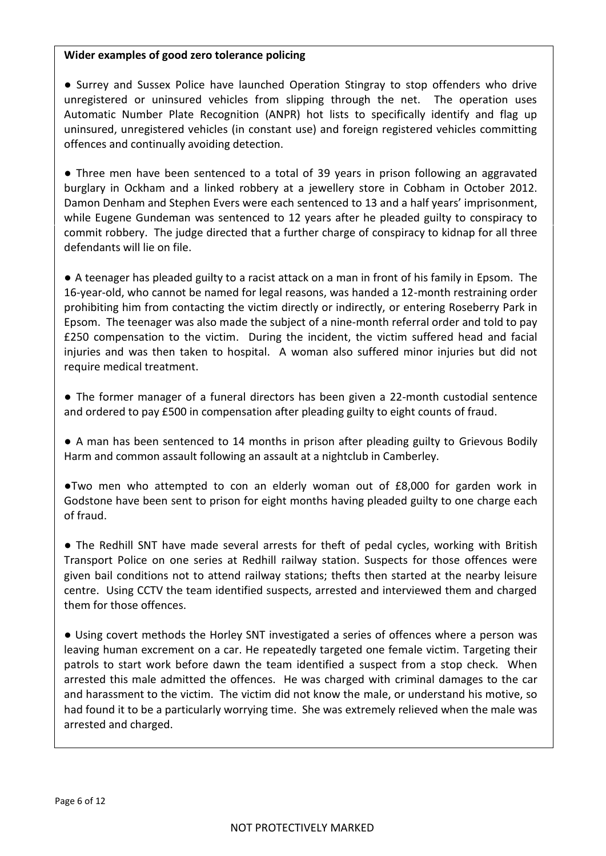### **Wider examples of good zero tolerance policing**

● Surrey and Sussex Police have launched Operation Stingray to stop offenders who drive unregistered or uninsured vehicles from slipping through the net. The operation uses Automatic Number Plate Recognition (ANPR) hot lists to specifically identify and flag up uninsured, unregistered vehicles (in constant use) and foreign registered vehicles committing offences and continually avoiding detection.

● Three men have been sentenced to a total of 39 years in prison following an aggravated burglary in Ockham and a linked robbery at a jewellery store in Cobham in October 2012. Damon Denham and Stephen Evers were each sentenced to 13 and a half years' imprisonment, while Eugene Gundeman was sentenced to 12 years after he pleaded guilty to conspiracy to commit robbery. The judge directed that a further charge of conspiracy to kidnap for all three defendants will lie on file.

● A teenager has pleaded guilty to a racist attack on a man in front of his family in Epsom. The 16-year-old, who cannot be named for legal reasons, was handed a 12-month restraining order prohibiting him from contacting the victim directly or indirectly, or entering Roseberry Park in [Epsom.](http://www.getsurrey.co.uk/all-about/epsom) The teenager was also made the subject of a nine-month referral order and told to pay £250 compensation to the victim. During the incident, the victim suffered head and facial injuries and was then taken to hospital. A woman also suffered minor injuries but did not require medical treatment.

● The former manager of a funeral directors has been given a 22-month custodial sentence and ordered to pay £500 in compensation after pleading guilty to eight counts of fraud.

● A man has been sentenced to 14 months in prison after pleading guilty to Grievous Bodily Harm and common assault following an assault at a nightclub in Camberley.

●Two men who attempted to con an elderly woman out of £8,000 for garden work in Godstone have been sent to prison for eight months having pleaded guilty to one charge each of fraud.

• The Redhill SNT have made several arrests for theft of pedal cycles, working with British Transport Police on one series at Redhill railway station. Suspects for those offences were given bail conditions not to attend railway stations; thefts then started at the nearby leisure centre. Using CCTV the team identified suspects, arrested and interviewed them and charged them for those offences.

● Using covert methods the Horley SNT investigated a series of offences where a person was leaving human excrement on a car. He repeatedly targeted one female victim. Targeting their patrols to start work before dawn the team identified a suspect from a stop check. When arrested this male admitted the offences. He was charged with criminal damages to the car and harassment to the victim. The victim did not know the male, or understand his motive, so had found it to be a particularly worrying time. She was extremely relieved when the male was arrested and charged.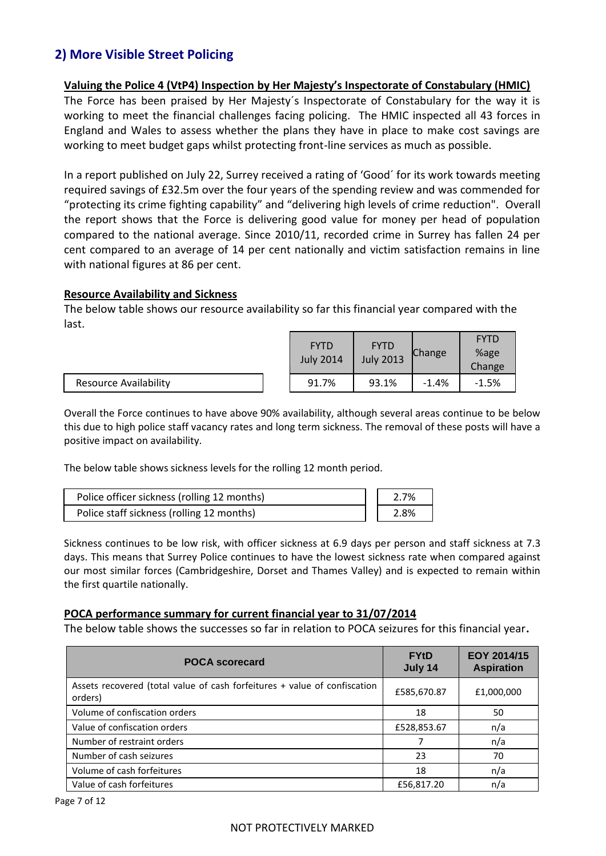# **2) More Visible Street Policing**

## **Valuing the Police 4 (VtP4) Inspection by Her Majesty's Inspectorate of Constabulary (HMIC)**

The Force has been praised by Her Majesty´s Inspectorate of Constabulary for the way it is working to meet the financial challenges facing policing. The HMIC inspected all 43 forces in England and Wales to assess whether the plans they have in place to make cost savings are working to meet budget gaps whilst protecting front-line services as much as possible.

In a report published on July 22, Surrey received a rating of 'Good´ for its work towards meeting required savings of £32.5m over the four years of the spending review and was commended for "protecting its crime fighting capability" and "delivering high levels of crime reduction". Overall the report shows that the Force is delivering good value for money per head of population compared to the national average. Since 2010/11, recorded crime in Surrey has fallen 24 per cent compared to an average of 14 per cent nationally and victim satisfaction remains in line with national figures at 86 per cent.

#### **Resource Availability and Sickness**

The below table shows our resource availability so far this financial year compared with the last.

|                              | <b>FYTD</b><br><b>July 2014</b> | <b>FYTD</b><br><b>July 2013</b> | Change  | <b>FYTD</b><br>%age<br>Change |
|------------------------------|---------------------------------|---------------------------------|---------|-------------------------------|
| <b>Resource Availability</b> | 91.7%                           | 93.1%                           | $-1.4%$ | $-1.5%$                       |

Overall the Force continues to have above 90% availability, although several areas continue to be below this due to high police staff vacancy rates and long term sickness. The removal of these posts will have a positive impact on availability.

The below table shows sickness levels for the rolling 12 month period.

| Police officer sickness (rolling 12 months) | 2.7% |
|---------------------------------------------|------|
| Police staff sickness (rolling 12 months)   | 2.8% |

Sickness continues to be low risk, with officer sickness at 6.9 days per person and staff sickness at 7.3 days. This means that Surrey Police continues to have the lowest sickness rate when compared against our most similar forces (Cambridgeshire, Dorset and Thames Valley) and is expected to remain within the first quartile nationally.

#### **POCA performance summary for current financial year to 31/07/2014**

The below table shows the successes so far in relation to POCA seizures for this financial year**.**

| <b>POCA scorecard</b>                                                                | <b>FYtD</b><br>July 14 | EOY 2014/15<br><b>Aspiration</b> |
|--------------------------------------------------------------------------------------|------------------------|----------------------------------|
| Assets recovered (total value of cash forfeitures + value of confiscation<br>orders) | £585,670.87            | £1,000,000                       |
| Volume of confiscation orders                                                        | 18                     | 50                               |
| Value of confiscation orders                                                         | £528,853.67            | n/a                              |
| Number of restraint orders                                                           | 7                      | n/a                              |
| Number of cash seizures                                                              | 23                     | 70                               |
| Volume of cash forfeitures                                                           | 18                     | n/a                              |
| Value of cash forfeitures                                                            | £56,817.20             | n/a                              |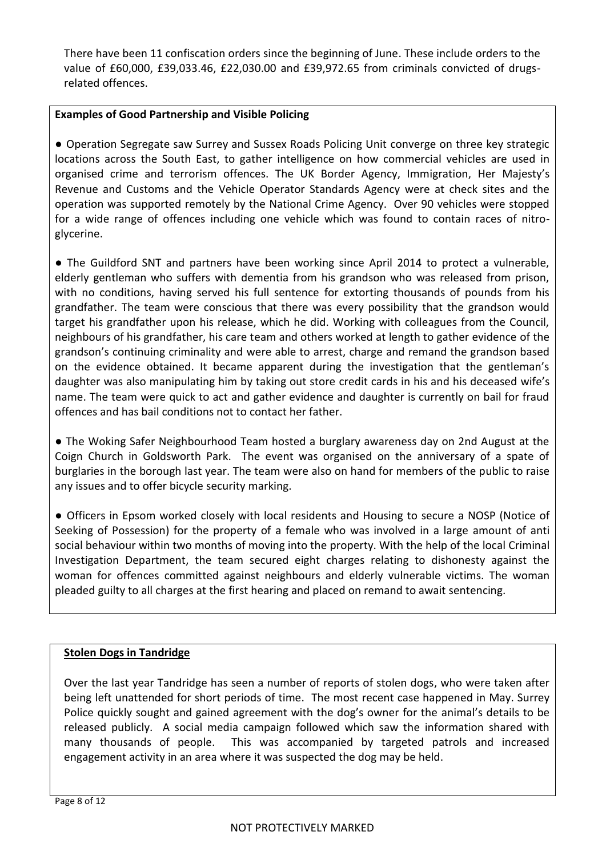There have been 11 confiscation orders since the beginning of June. These include orders to the value of £60,000, £39,033.46, £22,030.00 and £39,972.65 from criminals convicted of drugsrelated offences.

# **Examples of Good Partnership and Visible Policing**

● Operation Segregate saw Surrey and Sussex Roads Policing Unit converge on three key strategic locations across the South East, to gather intelligence on how commercial vehicles are used in organised crime and terrorism offences. The UK Border Agency, Immigration, Her Majesty's Revenue and Customs and the Vehicle Operator Standards Agency were at check sites and the operation was supported remotely by the National Crime Agency. Over 90 vehicles were stopped for a wide range of offences including one vehicle which was found to contain races of nitroglycerine.

• The Guildford SNT and partners have been working since April 2014 to protect a vulnerable, elderly gentleman who suffers with dementia from his grandson who was released from prison, with no conditions, having served his full sentence for extorting thousands of pounds from his grandfather. The team were conscious that there was every possibility that the grandson would target his grandfather upon his release, which he did. Working with colleagues from the Council, neighbours of his grandfather, his care team and others worked at length to gather evidence of the grandson's continuing criminality and were able to arrest, charge and remand the grandson based on the evidence obtained. It became apparent during the investigation that the gentleman's daughter was also manipulating him by taking out store credit cards in his and his deceased wife's name. The team were quick to act and gather evidence and daughter is currently on bail for fraud offences and has bail conditions not to contact her father.

● The Woking Safer Neighbourhood Team hosted a burglary awareness day on 2nd August at the Coign Church in Goldsworth Park. The event was organised on the anniversary of a spate of burglaries in the borough last year. The team were also on hand for members of the public to raise any issues and to offer bicycle security marking.

● Officers in Epsom worked closely with local residents and Housing to secure a NOSP (Notice of Seeking of Possession) for the property of a female who was involved in a large amount of anti social behaviour within two months of moving into the property. With the help of the local Criminal Investigation Department, the team secured eight charges relating to dishonesty against the woman for offences committed against neighbours and elderly vulnerable victims. The woman pleaded guilty to all charges at the first hearing and placed on remand to await sentencing.

## **Stolen Dogs in Tandridge**

Over the last year Tandridge has seen a number of reports of stolen dogs, who were taken after being left unattended for short periods of time. The most recent case happened in May. Surrey Police quickly sought and gained agreement with the dog's owner for the animal's details to be released publicly. A social media campaign followed which saw the information shared with many thousands of people. This was accompanied by targeted patrols and increased engagement activity in an area where it was suspected the dog may be held.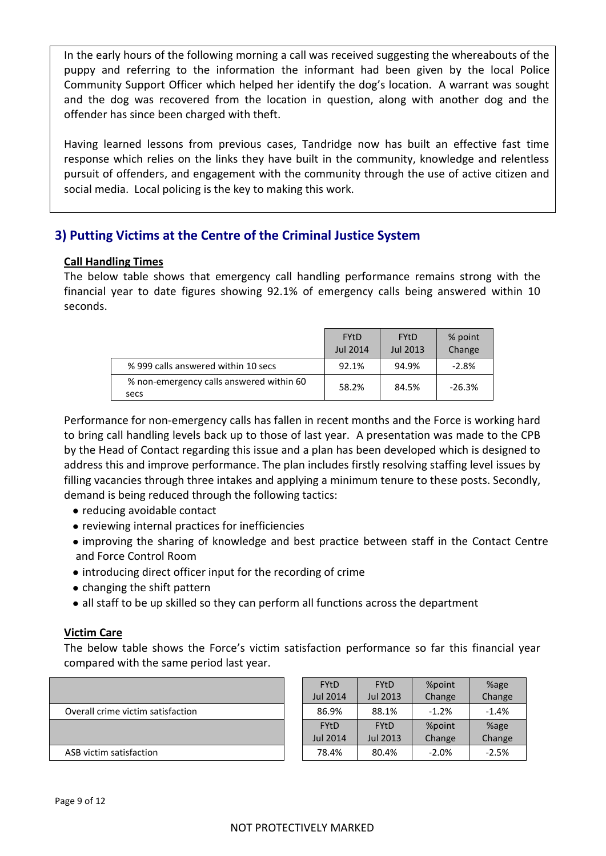In the early hours of the following morning a call was received suggesting the whereabouts of the puppy and referring to the information the informant had been given by the local Police Community Support Officer which helped her identify the dog's location. A warrant was sought and the dog was recovered from the location in question, along with another dog and the offender has since been charged with theft.

Having learned lessons from previous cases, Tandridge now has built an effective fast time response which relies on the links they have built in the community, knowledge and relentless pursuit of offenders, and engagement with the community through the use of active citizen and social media. Local policing is the key to making this work.

# **3) Putting Victims at the Centre of the Criminal Justice System**

# **Call Handling Times**

The below table shows that emergency call handling performance remains strong with the financial year to date figures showing 92.1% of emergency calls being answered within 10 seconds.

|                                                  | <b>FY<sub>t</sub>D</b><br>Jul 2014 | <b>FYtD</b><br>Jul 2013 | % point<br>Change |
|--------------------------------------------------|------------------------------------|-------------------------|-------------------|
| % 999 calls answered within 10 secs              | 92.1%                              | 94.9%                   | $-2.8%$           |
| % non-emergency calls answered within 60<br>secs | 58.2%                              | 84.5%                   | $-26.3%$          |

Performance for non-emergency calls has fallen in recent months and the Force is working hard to bring call handling levels back up to those of last year. A presentation was made to the CPB by the Head of Contact regarding this issue and a plan has been developed which is designed to address this and improve performance. The plan includes firstly resolving staffing level issues by filling vacancies through three intakes and applying a minimum tenure to these posts. Secondly, demand is being reduced through the following tactics:

- reducing avoidable contact
- reviewing internal practices for inefficiencies
- improving the sharing of knowledge and best practice between staff in the Contact Centre and Force Control Room
- introducing direct officer input for the recording of crime
- changing the shift pattern
- all staff to be up skilled so they can perform all functions across the department

## **Victim Care**

The below table shows the Force's victim satisfaction performance so far this financial year compared with the same period last year.

|                                   | <b>FYtD</b>     | <b>FYtD</b> | %point  | %age    |
|-----------------------------------|-----------------|-------------|---------|---------|
|                                   | <b>Jul 2014</b> | Jul 2013    | Change  | Change  |
| Overall crime victim satisfaction | 86.9%           | 88.1%       | $-1.2%$ | $-1.4%$ |
|                                   | <b>FYtD</b>     | <b>FYtD</b> | %point  | %age    |
|                                   | <b>Jul 2014</b> | Jul 2013    | Change  | Change  |
| ASB victim satisfaction           | 78.4%           | 80.4%       | $-2.0%$ | $-2.5%$ |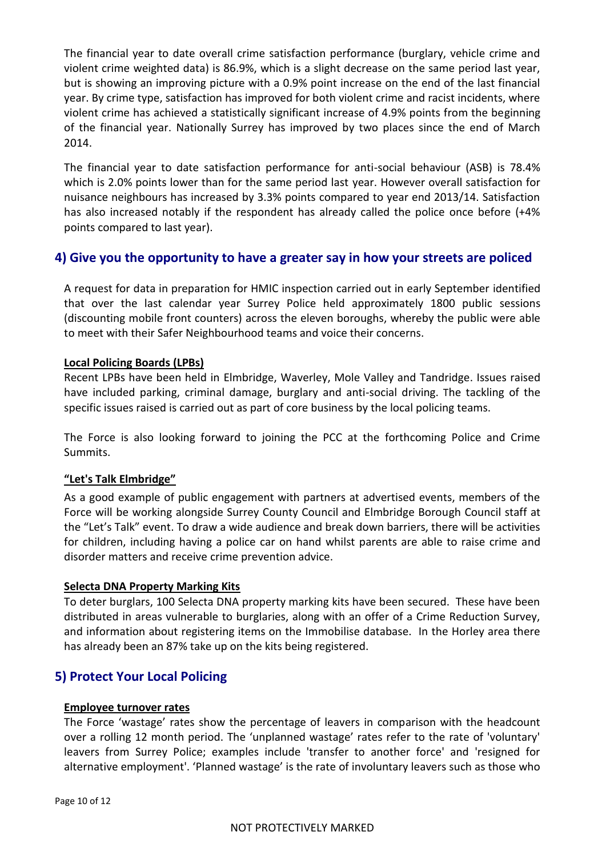The financial year to date overall crime satisfaction performance (burglary, vehicle crime and violent crime weighted data) is 86.9%, which is a slight decrease on the same period last year, but is showing an improving picture with a 0.9% point increase on the end of the last financial year. By crime type, satisfaction has improved for both violent crime and racist incidents, where violent crime has achieved a statistically significant increase of 4.9% points from the beginning of the financial year. Nationally Surrey has improved by two places since the end of March 2014.

The financial year to date satisfaction performance for anti-social behaviour (ASB) is 78.4% which is 2.0% points lower than for the same period last year. However overall satisfaction for nuisance neighbours has increased by 3.3% points compared to year end 2013/14. Satisfaction has also increased notably if the respondent has already called the police once before (+4% points compared to last year).

# **4) Give you the opportunity to have a greater say in how your streets are policed**

A request for data in preparation for HMIC inspection carried out in early September identified that over the last calendar year Surrey Police held approximately 1800 public sessions (discounting mobile front counters) across the eleven boroughs, whereby the public were able to meet with their Safer Neighbourhood teams and voice their concerns.

## **Local Policing Boards (LPBs)**

Recent LPBs have been held in Elmbridge, Waverley, Mole Valley and Tandridge. Issues raised have included parking, criminal damage, burglary and anti-social driving. The tackling of the specific issues raised is carried out as part of core business by the local policing teams.

The Force is also looking forward to joining the PCC at the forthcoming Police and Crime Summits.

## **"Let's Talk Elmbridge"**

As a good example of public engagement with partners at advertised events, members of the Force will be working alongside Surrey County Council and Elmbridge Borough Council staff at the "Let's Talk" event. To draw a wide audience and break down barriers, there will be activities for children, including having a police car on hand whilst parents are able to raise crime and disorder matters and receive crime prevention advice.

#### **Selecta DNA Property Marking Kits**

To deter burglars, 100 Selecta DNA property marking kits have been secured. These have been distributed in areas vulnerable to burglaries, along with an offer of a Crime Reduction Survey, and information about registering items on the Immobilise database. In the Horley area there has already been an 87% take up on the kits being registered.

# **5) Protect Your Local Policing**

#### **Employee turnover rates**

The Force 'wastage' rates show the percentage of leavers in comparison with the headcount over a rolling 12 month period. The 'unplanned wastage' rates refer to the rate of 'voluntary' leavers from Surrey Police; examples include 'transfer to another force' and 'resigned for alternative employment'. 'Planned wastage' is the rate of involuntary leavers such as those who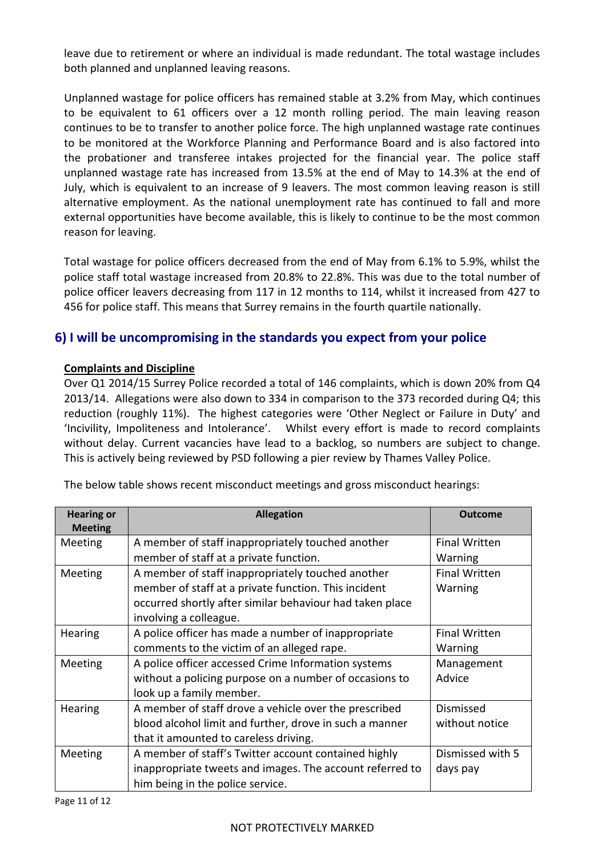leave due to retirement or where an individual is made redundant. The total wastage includes both planned and unplanned leaving reasons.

Unplanned wastage for police officers has remained stable at 3.2% from May, which continues to be equivalent to 61 officers over a 12 month rolling period. The main leaving reason continues to be to transfer to another police force. The high unplanned wastage rate continues to be monitored at the Workforce Planning and Performance Board and is also factored into the probationer and transferee intakes projected for the financial year. The police staff unplanned wastage rate has increased from 13.5% at the end of May to 14.3% at the end of July, which is equivalent to an increase of 9 leavers. The most common leaving reason is still alternative employment. As the national unemployment rate has continued to fall and more external opportunities have become available, this is likely to continue to be the most common reason for leaving.

Total wastage for police officers decreased from the end of May from 6.1% to 5.9%, whilst the police staff total wastage increased from 20.8% to 22.8%. This was due to the total number of police officer leavers decreasing from 117 in 12 months to 114, whilst it increased from 427 to 456 for police staff. This means that Surrey remains in the fourth quartile nationally.

# **6) I will be uncompromising in the standards you expect from your police**

# **Complaints and Discipline**

Over Q1 2014/15 Surrey Police recorded a total of 146 complaints, which is down 20% from Q4 2013/14. Allegations were also down to 334 in comparison to the 373 recorded during Q4; this reduction (roughly 11%). The highest categories were 'Other Neglect or Failure in Duty' and 'Incivility, Impoliteness and Intolerance'. Whilst every effort is made to record complaints without delay. Current vacancies have lead to a backlog, so numbers are subject to change. This is actively being reviewed by PSD following a pier review by Thames Valley Police.

| <b>Hearing or</b><br><b>Meeting</b> | <b>Allegation</b>                                        | Outcome              |
|-------------------------------------|----------------------------------------------------------|----------------------|
| Meeting                             | A member of staff inappropriately touched another        | <b>Final Written</b> |
|                                     | member of staff at a private function.                   | Warning              |
| Meeting                             | A member of staff inappropriately touched another        | <b>Final Written</b> |
|                                     | member of staff at a private function. This incident     | Warning              |
|                                     | occurred shortly after similar behaviour had taken place |                      |
|                                     | involving a colleague.                                   |                      |
| Hearing                             | A police officer has made a number of inappropriate      | <b>Final Written</b> |
|                                     | comments to the victim of an alleged rape.               | Warning              |
| Meeting                             | A police officer accessed Crime Information systems      | Management           |
|                                     | without a policing purpose on a number of occasions to   | Advice               |
|                                     | look up a family member.                                 |                      |
| Hearing                             | A member of staff drove a vehicle over the prescribed    | Dismissed            |
|                                     | blood alcohol limit and further, drove in such a manner  | without notice       |
|                                     | that it amounted to careless driving.                    |                      |
| Meeting                             | A member of staff's Twitter account contained highly     | Dismissed with 5     |
|                                     | inappropriate tweets and images. The account referred to | days pay             |
|                                     | him being in the police service.                         |                      |

The below table shows recent misconduct meetings and gross misconduct hearings: